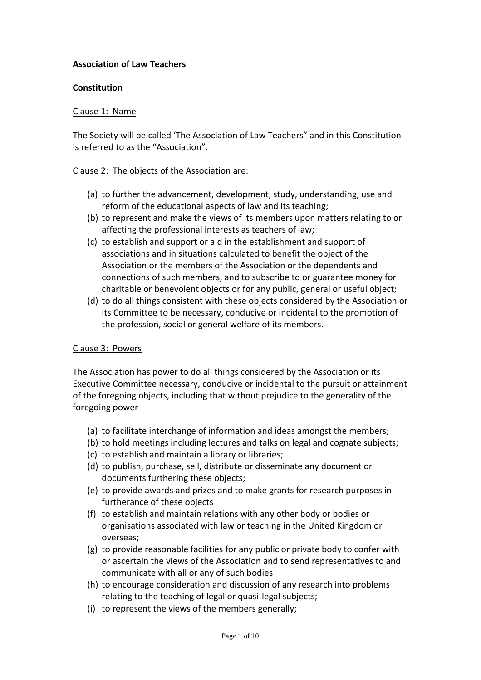### **Association of Law Teachers**

#### **Constitution**

#### Clause 1: Name

The Society will be called 'The Association of Law Teachers" and in this Constitution is referred to as the "Association".

#### Clause 2: The objects of the Association are:

- (a) to further the advancement, development, study, understanding, use and reform of the educational aspects of law and its teaching;
- (b) to represent and make the views of its members upon matters relating to or affecting the professional interests as teachers of law;
- (c) to establish and support or aid in the establishment and support of associations and in situations calculated to benefit the object of the Association or the members of the Association or the dependents and connections of such members, and to subscribe to or guarantee money for charitable or benevolent objects or for any public, general or useful object;
- (d) to do all things consistent with these objects considered by the Association or its Committee to be necessary, conducive or incidental to the promotion of the profession, social or general welfare of its members.

#### Clause 3: Powers

The Association has power to do all things considered by the Association or its Executive Committee necessary, conducive or incidental to the pursuit or attainment of the foregoing objects, including that without prejudice to the generality of the foregoing power

- (a) to facilitate interchange of information and ideas amongst the members;
- (b) to hold meetings including lectures and talks on legal and cognate subjects;
- (c) to establish and maintain a library or libraries;
- (d) to publish, purchase, sell, distribute or disseminate any document or documents furthering these objects;
- (e) to provide awards and prizes and to make grants for research purposes in furtherance of these objects
- (f) to establish and maintain relations with any other body or bodies or organisations associated with law or teaching in the United Kingdom or overseas;
- (g) to provide reasonable facilities for any public or private body to confer with or ascertain the views of the Association and to send representatives to and communicate with all or any of such bodies
- (h) to encourage consideration and discussion of any research into problems relating to the teaching of legal or quasi-legal subjects;
- (i) to represent the views of the members generally;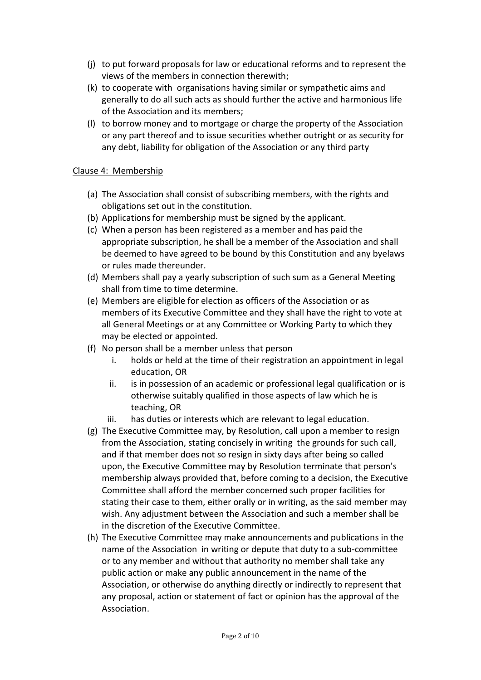- (j) to put forward proposals for law or educational reforms and to represent the views of the members in connection therewith;
- (k) to cooperate with organisations having similar or sympathetic aims and generally to do all such acts as should further the active and harmonious life of the Association and its members;
- (l) to borrow money and to mortgage or charge the property of the Association or any part thereof and to issue securities whether outright or as security for any debt, liability for obligation of the Association or any third party

### Clause 4: Membership

- (a) The Association shall consist of subscribing members, with the rights and obligations set out in the constitution.
- (b) Applications for membership must be signed by the applicant.
- (c) When a person has been registered as a member and has paid the appropriate subscription, he shall be a member of the Association and shall be deemed to have agreed to be bound by this Constitution and any byelaws or rules made thereunder.
- (d) Members shall pay a yearly subscription of such sum as a General Meeting shall from time to time determine.
- (e) Members are eligible for election as officers of the Association or as members of its Executive Committee and they shall have the right to vote at all General Meetings or at any Committee or Working Party to which they may be elected or appointed.
- (f) No person shall be a member unless that person
	- i. holds or held at the time of their registration an appointment in legal education, OR
	- ii. is in possession of an academic or professional legal qualification or is otherwise suitably qualified in those aspects of law which he is teaching, OR
	- iii. has duties or interests which are relevant to legal education.
- (g) The Executive Committee may, by Resolution, call upon a member to resign from the Association, stating concisely in writing the grounds for such call, and if that member does not so resign in sixty days after being so called upon, the Executive Committee may by Resolution terminate that person's membership always provided that, before coming to a decision, the Executive Committee shall afford the member concerned such proper facilities for stating their case to them, either orally or in writing, as the said member may wish. Any adjustment between the Association and such a member shall be in the discretion of the Executive Committee.
- (h) The Executive Committee may make announcements and publications in the name of the Association in writing or depute that duty to a sub-committee or to any member and without that authority no member shall take any public action or make any public announcement in the name of the Association, or otherwise do anything directly or indirectly to represent that any proposal, action or statement of fact or opinion has the approval of the Association.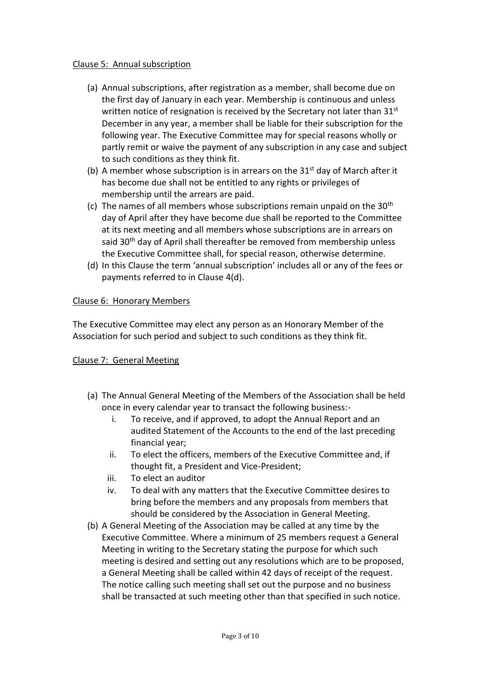### Clause 5: Annual subscription

- (a) Annual subscriptions, after registration as a member, shall become due on the first day of January in each year. Membership is continuous and unless written notice of resignation is received by the Secretary not later than 31st December in any year, a member shall be liable for their subscription for the following year. The Executive Committee may for special reasons wholly or partly remit or waive the payment of any subscription in any case and subject to such conditions as they think fit.
- (b) A member whose subscription is in arrears on the  $31<sup>st</sup>$  day of March after it has become due shall not be entitled to any rights or privileges of membership until the arrears are paid.
- (c) The names of all members whose subscriptions remain unpaid on the  $30<sup>th</sup>$ day of April after they have become due shall be reported to the Committee at its next meeting and all members whose subscriptions are in arrears on said 30<sup>th</sup> day of April shall thereafter be removed from membership unless the Executive Committee shall, for special reason, otherwise determine.
- (d) In this Clause the term 'annual subscription' includes all or any of the fees or payments referred to in Clause 4(d).

### Clause 6: Honorary Members

The Executive Committee may elect any person as an Honorary Member of the Association for such period and subject to such conditions as they think fit.

# Clause 7: General Meeting

- (a) The Annual General Meeting of the Members of the Association shall be held once in every calendar year to transact the following business:
	- i. To receive, and if approved, to adopt the Annual Report and an audited Statement of the Accounts to the end of the last preceding financial year;
	- ii. To elect the officers, members of the Executive Committee and, if thought fit, a President and Vice-President;
	- iii. To elect an auditor
	- iv. To deal with any matters that the Executive Committee desires to bring before the members and any proposals from members that should be considered by the Association in General Meeting.
- (b) A General Meeting of the Association may be called at any time by the Executive Committee. Where a minimum of 25 members request a General Meeting in writing to the Secretary stating the purpose for which such meeting is desired and setting out any resolutions which are to be proposed, a General Meeting shall be called within 42 days of receipt of the request. The notice calling such meeting shall set out the purpose and no business shall be transacted at such meeting other than that specified in such notice.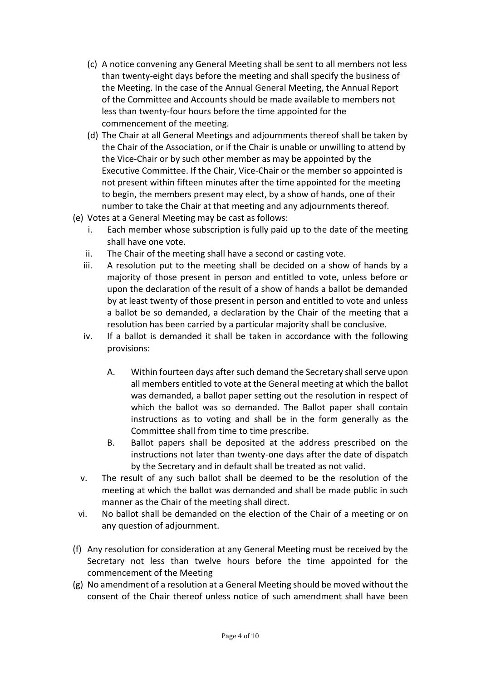- (c) A notice convening any General Meeting shall be sent to all members not less than twenty-eight days before the meeting and shall specify the business of the Meeting. In the case of the Annual General Meeting, the Annual Report of the Committee and Accounts should be made available to members not less than twenty-four hours before the time appointed for the commencement of the meeting.
- (d) The Chair at all General Meetings and adjournments thereof shall be taken by the Chair of the Association, or if the Chair is unable or unwilling to attend by the Vice-Chair or by such other member as may be appointed by the Executive Committee. If the Chair, Vice-Chair or the member so appointed is not present within fifteen minutes after the time appointed for the meeting to begin, the members present may elect, by a show of hands, one of their number to take the Chair at that meeting and any adjournments thereof.
- (e) Votes at a General Meeting may be cast as follows:
	- i. Each member whose subscription is fully paid up to the date of the meeting shall have one vote.
	- ii. The Chair of the meeting shall have a second or casting vote.
	- iii. A resolution put to the meeting shall be decided on a show of hands by a majority of those present in person and entitled to vote, unless before or upon the declaration of the result of a show of hands a ballot be demanded by at least twenty of those present in person and entitled to vote and unless a ballot be so demanded, a declaration by the Chair of the meeting that a resolution has been carried by a particular majority shall be conclusive.
	- iv. If a ballot is demanded it shall be taken in accordance with the following provisions:
		- A. Within fourteen days after such demand the Secretary shall serve upon all members entitled to vote at the General meeting at which the ballot was demanded, a ballot paper setting out the resolution in respect of which the ballot was so demanded. The Ballot paper shall contain instructions as to voting and shall be in the form generally as the Committee shall from time to time prescribe.
		- B. Ballot papers shall be deposited at the address prescribed on the instructions not later than twenty-one days after the date of dispatch by the Secretary and in default shall be treated as not valid.
	- v. The result of any such ballot shall be deemed to be the resolution of the meeting at which the ballot was demanded and shall be made public in such manner as the Chair of the meeting shall direct.
	- vi. No ballot shall be demanded on the election of the Chair of a meeting or on any question of adjournment.
- (f) Any resolution for consideration at any General Meeting must be received by the Secretary not less than twelve hours before the time appointed for the commencement of the Meeting
- (g) No amendment of a resolution at a General Meeting should be moved without the consent of the Chair thereof unless notice of such amendment shall have been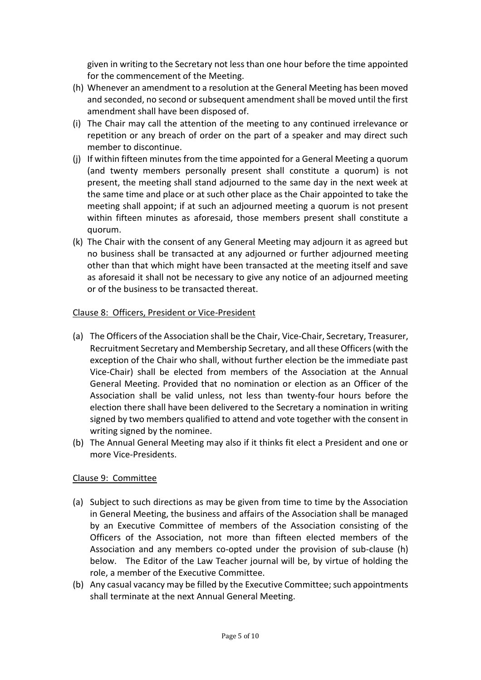given in writing to the Secretary not less than one hour before the time appointed for the commencement of the Meeting.

- (h) Whenever an amendment to a resolution at the General Meeting has been moved and seconded, no second or subsequent amendment shall be moved until the first amendment shall have been disposed of.
- (i) The Chair may call the attention of the meeting to any continued irrelevance or repetition or any breach of order on the part of a speaker and may direct such member to discontinue.
- (j) If within fifteen minutes from the time appointed for a General Meeting a quorum (and twenty members personally present shall constitute a quorum) is not present, the meeting shall stand adjourned to the same day in the next week at the same time and place or at such other place as the Chair appointed to take the meeting shall appoint; if at such an adjourned meeting a quorum is not present within fifteen minutes as aforesaid, those members present shall constitute a quorum.
- (k) The Chair with the consent of any General Meeting may adjourn it as agreed but no business shall be transacted at any adjourned or further adjourned meeting other than that which might have been transacted at the meeting itself and save as aforesaid it shall not be necessary to give any notice of an adjourned meeting or of the business to be transacted thereat.

# Clause 8: Officers, President or Vice-President

- (a) The Officers of the Association shall be the Chair, Vice-Chair, Secretary, Treasurer, Recruitment Secretary and Membership Secretary, and all these Officers (with the exception of the Chair who shall, without further election be the immediate past Vice-Chair) shall be elected from members of the Association at the Annual General Meeting. Provided that no nomination or election as an Officer of the Association shall be valid unless, not less than twenty-four hours before the election there shall have been delivered to the Secretary a nomination in writing signed by two members qualified to attend and vote together with the consent in writing signed by the nominee.
- (b) The Annual General Meeting may also if it thinks fit elect a President and one or more Vice-Presidents.

# Clause 9: Committee

- (a) Subject to such directions as may be given from time to time by the Association in General Meeting, the business and affairs of the Association shall be managed by an Executive Committee of members of the Association consisting of the Officers of the Association, not more than fifteen elected members of the Association and any members co-opted under the provision of sub-clause (h) below. The Editor of the Law Teacher journal will be, by virtue of holding the role, a member of the Executive Committee.
- (b) Any casual vacancy may be filled by the Executive Committee; such appointments shall terminate at the next Annual General Meeting.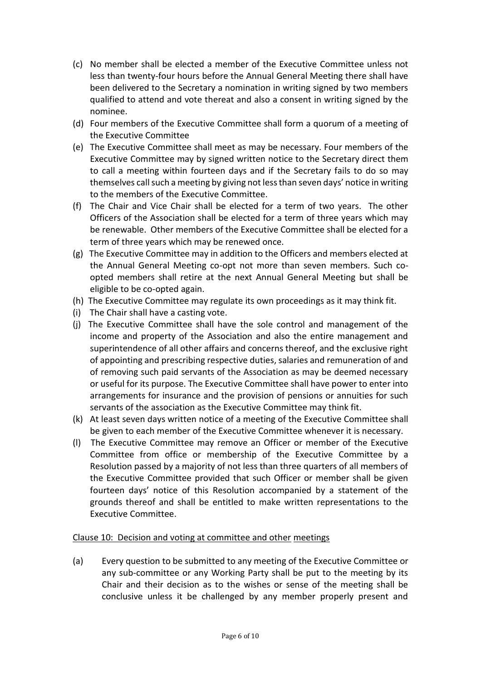- (c) No member shall be elected a member of the Executive Committee unless not less than twenty-four hours before the Annual General Meeting there shall have been delivered to the Secretary a nomination in writing signed by two members qualified to attend and vote thereat and also a consent in writing signed by the nominee.
- (d) Four members of the Executive Committee shall form a quorum of a meeting of the Executive Committee
- (e) The Executive Committee shall meet as may be necessary. Four members of the Executive Committee may by signed written notice to the Secretary direct them to call a meeting within fourteen days and if the Secretary fails to do so may themselves call such a meeting by giving not less than seven days' notice in writing to the members of the Executive Committee.
- (f) The Chair and Vice Chair shall be elected for a term of two years. The other Officers of the Association shall be elected for a term of three years which may be renewable. Other members of the Executive Committee shall be elected for a term of three years which may be renewed once.
- (g) The Executive Committee may in addition to the Officers and members elected at the Annual General Meeting co-opt not more than seven members. Such coopted members shall retire at the next Annual General Meeting but shall be eligible to be co-opted again.
- (h) The Executive Committee may regulate its own proceedings as it may think fit.
- (i) The Chair shall have a casting vote.
- (j) The Executive Committee shall have the sole control and management of the income and property of the Association and also the entire management and superintendence of all other affairs and concerns thereof, and the exclusive right of appointing and prescribing respective duties, salaries and remuneration of and of removing such paid servants of the Association as may be deemed necessary or useful for its purpose. The Executive Committee shall have power to enter into arrangements for insurance and the provision of pensions or annuities for such servants of the association as the Executive Committee may think fit.
- (k) At least seven days written notice of a meeting of the Executive Committee shall be given to each member of the Executive Committee whenever it is necessary.
- (l) The Executive Committee may remove an Officer or member of the Executive Committee from office or membership of the Executive Committee by a Resolution passed by a majority of not less than three quarters of all members of the Executive Committee provided that such Officer or member shall be given fourteen days' notice of this Resolution accompanied by a statement of the grounds thereof and shall be entitled to make written representations to the Executive Committee.

# Clause 10: Decision and voting at committee and other meetings

(a) Every question to be submitted to any meeting of the Executive Committee or any sub-committee or any Working Party shall be put to the meeting by its Chair and their decision as to the wishes or sense of the meeting shall be conclusive unless it be challenged by any member properly present and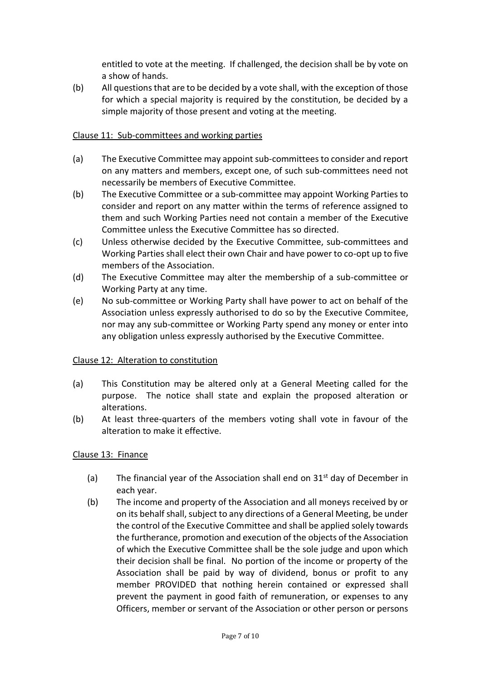entitled to vote at the meeting. If challenged, the decision shall be by vote on a show of hands.

(b) All questions that are to be decided by a vote shall, with the exception of those for which a special majority is required by the constitution, be decided by a simple majority of those present and voting at the meeting.

### Clause 11: Sub-committees and working parties

- (a) The Executive Committee may appoint sub-committees to consider and report on any matters and members, except one, of such sub-committees need not necessarily be members of Executive Committee.
- (b) The Executive Committee or a sub-committee may appoint Working Parties to consider and report on any matter within the terms of reference assigned to them and such Working Parties need not contain a member of the Executive Committee unless the Executive Committee has so directed.
- (c) Unless otherwise decided by the Executive Committee, sub-committees and Working Parties shall elect their own Chair and have power to co-opt up to five members of the Association.
- (d) The Executive Committee may alter the membership of a sub-committee or Working Party at any time.
- (e) No sub-committee or Working Party shall have power to act on behalf of the Association unless expressly authorised to do so by the Executive Commitee, nor may any sub-committee or Working Party spend any money or enter into any obligation unless expressly authorised by the Executive Committee.

#### Clause 12: Alteration to constitution

- (a) This Constitution may be altered only at a General Meeting called for the purpose. The notice shall state and explain the proposed alteration or alterations.
- (b) At least three-quarters of the members voting shall vote in favour of the alteration to make it effective.

# Clause 13: Finance

- (a) The financial year of the Association shall end on  $31<sup>st</sup>$  day of December in each year.
- (b) The income and property of the Association and all moneys received by or on its behalf shall, subject to any directions of a General Meeting, be under the control of the Executive Committee and shall be applied solely towards the furtherance, promotion and execution of the objects of the Association of which the Executive Committee shall be the sole judge and upon which their decision shall be final. No portion of the income or property of the Association shall be paid by way of dividend, bonus or profit to any member PROVIDED that nothing herein contained or expressed shall prevent the payment in good faith of remuneration, or expenses to any Officers, member or servant of the Association or other person or persons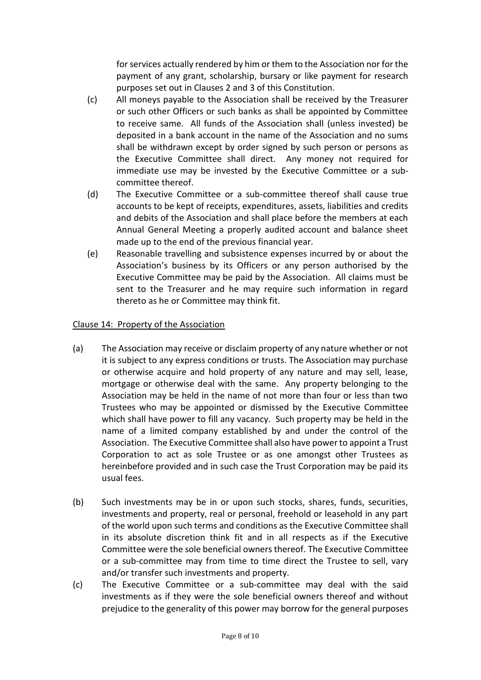for services actually rendered by him or them to the Association nor for the payment of any grant, scholarship, bursary or like payment for research purposes set out in Clauses 2 and 3 of this Constitution.

- (c) All moneys payable to the Association shall be received by the Treasurer or such other Officers or such banks as shall be appointed by Committee to receive same. All funds of the Association shall (unless invested) be deposited in a bank account in the name of the Association and no sums shall be withdrawn except by order signed by such person or persons as the Executive Committee shall direct. Any money not required for immediate use may be invested by the Executive Committee or a subcommittee thereof.
- (d) The Executive Committee or a sub-committee thereof shall cause true accounts to be kept of receipts, expenditures, assets, liabilities and credits and debits of the Association and shall place before the members at each Annual General Meeting a properly audited account and balance sheet made up to the end of the previous financial year.
- (e) Reasonable travelling and subsistence expenses incurred by or about the Association's business by its Officers or any person authorised by the Executive Committee may be paid by the Association. All claims must be sent to the Treasurer and he may require such information in regard thereto as he or Committee may think fit.

# Clause 14: Property of the Association

- (a) The Association may receive or disclaim property of any nature whether or not it is subject to any express conditions or trusts. The Association may purchase or otherwise acquire and hold property of any nature and may sell, lease, mortgage or otherwise deal with the same. Any property belonging to the Association may be held in the name of not more than four or less than two Trustees who may be appointed or dismissed by the Executive Committee which shall have power to fill any vacancy. Such property may be held in the name of a limited company established by and under the control of the Association. The Executive Committee shall also have power to appoint a Trust Corporation to act as sole Trustee or as one amongst other Trustees as hereinbefore provided and in such case the Trust Corporation may be paid its usual fees.
- (b) Such investments may be in or upon such stocks, shares, funds, securities, investments and property, real or personal, freehold or leasehold in any part of the world upon such terms and conditions as the Executive Committee shall in its absolute discretion think fit and in all respects as if the Executive Committee were the sole beneficial owners thereof. The Executive Committee or a sub-committee may from time to time direct the Trustee to sell, vary and/or transfer such investments and property.
- (c) The Executive Committee or a sub-committee may deal with the said investments as if they were the sole beneficial owners thereof and without prejudice to the generality of this power may borrow for the general purposes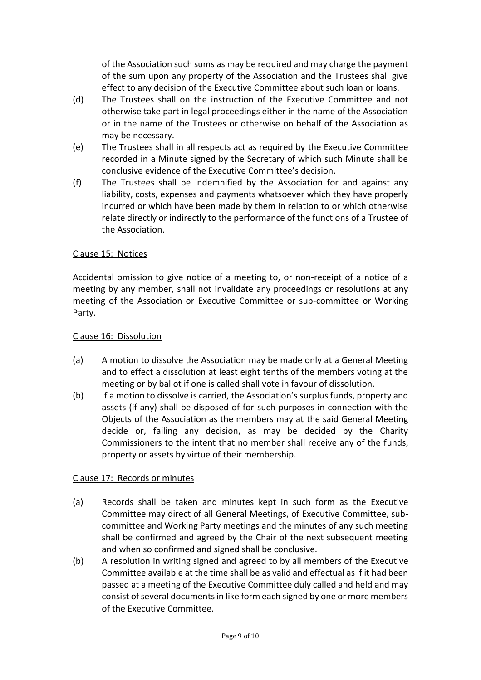of the Association such sums as may be required and may charge the payment of the sum upon any property of the Association and the Trustees shall give effect to any decision of the Executive Committee about such loan or loans.

- (d) The Trustees shall on the instruction of the Executive Committee and not otherwise take part in legal proceedings either in the name of the Association or in the name of the Trustees or otherwise on behalf of the Association as may be necessary.
- (e) The Trustees shall in all respects act as required by the Executive Committee recorded in a Minute signed by the Secretary of which such Minute shall be conclusive evidence of the Executive Committee's decision.
- (f) The Trustees shall be indemnified by the Association for and against any liability, costs, expenses and payments whatsoever which they have properly incurred or which have been made by them in relation to or which otherwise relate directly or indirectly to the performance of the functions of a Trustee of the Association.

# Clause 15: Notices

Accidental omission to give notice of a meeting to, or non-receipt of a notice of a meeting by any member, shall not invalidate any proceedings or resolutions at any meeting of the Association or Executive Committee or sub-committee or Working Party.

#### Clause 16: Dissolution

- (a) A motion to dissolve the Association may be made only at a General Meeting and to effect a dissolution at least eight tenths of the members voting at the meeting or by ballot if one is called shall vote in favour of dissolution.
- (b) If a motion to dissolve is carried, the Association's surplus funds, property and assets (if any) shall be disposed of for such purposes in connection with the Objects of the Association as the members may at the said General Meeting decide or, failing any decision, as may be decided by the Charity Commissioners to the intent that no member shall receive any of the funds, property or assets by virtue of their membership.

# Clause 17: Records or minutes

- (a) Records shall be taken and minutes kept in such form as the Executive Committee may direct of all General Meetings, of Executive Committee, subcommittee and Working Party meetings and the minutes of any such meeting shall be confirmed and agreed by the Chair of the next subsequent meeting and when so confirmed and signed shall be conclusive.
- (b) A resolution in writing signed and agreed to by all members of the Executive Committee available at the time shall be as valid and effectual as if it had been passed at a meeting of the Executive Committee duly called and held and may consist of several documents in like form each signed by one or more members of the Executive Committee.